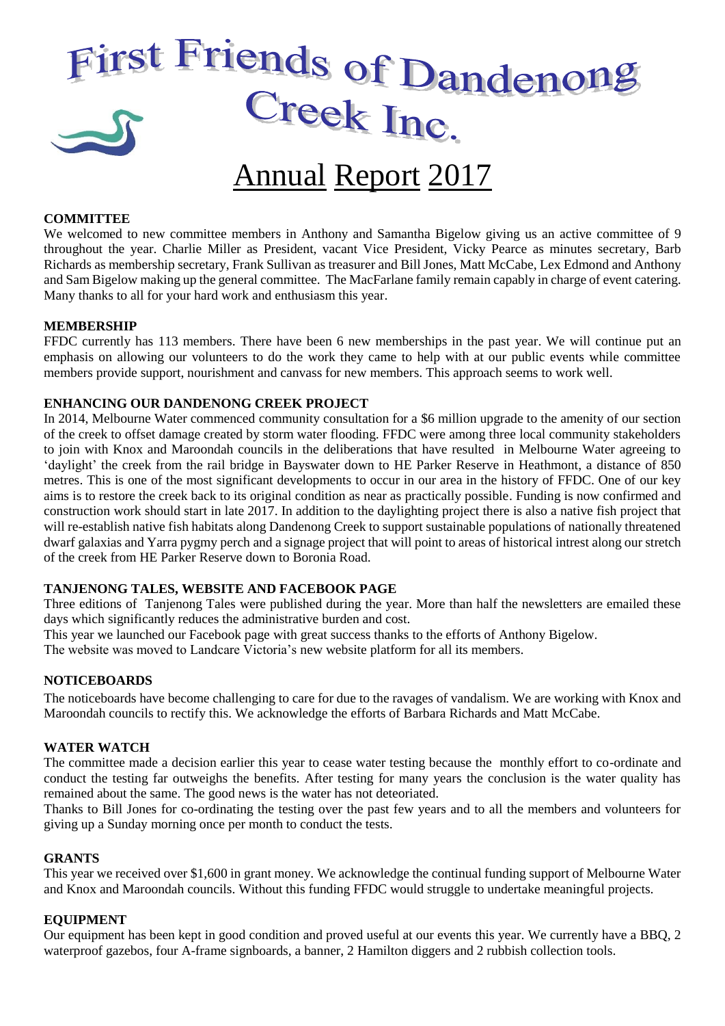# First Friends of Dandenong

# Annual Report 2017

# **COMMITTEE**

We welcomed to new committee members in Anthony and Samantha Bigelow giving us an active committee of 9 throughout the year. Charlie Miller as President, vacant Vice President, Vicky Pearce as minutes secretary, Barb Richards as membership secretary, Frank Sullivan as treasurer and Bill Jones, Matt McCabe, Lex Edmond and Anthony and Sam Bigelow making up the general committee. The MacFarlane family remain capably in charge of event catering. Many thanks to all for your hard work and enthusiasm this year.

#### **MEMBERSHIP**

FFDC currently has 113 members. There have been 6 new memberships in the past year. We will continue put an emphasis on allowing our volunteers to do the work they came to help with at our public events while committee members provide support, nourishment and canvass for new members. This approach seems to work well.

### **ENHANCING OUR DANDENONG CREEK PROJECT**

In 2014, Melbourne Water commenced community consultation for a \$6 million upgrade to the amenity of our section of the creek to offset damage created by storm water flooding. FFDC were among three local community stakeholders to join with Knox and Maroondah councils in the deliberations that have resulted in Melbourne Water agreeing to 'daylight' the creek from the rail bridge in Bayswater down to HE Parker Reserve in Heathmont, a distance of 850 metres. This is one of the most significant developments to occur in our area in the history of FFDC. One of our key aims is to restore the creek back to its original condition as near as practically possible. Funding is now confirmed and construction work should start in late 2017. In addition to the daylighting project there is also a native fish project that will re-establish native fish habitats along Dandenong Creek to support sustainable populations of nationally threatened dwarf galaxias and Yarra pygmy perch and a signage project that will point to areas of historical intrest along our stretch of the creek from HE Parker Reserve down to Boronia Road.

# **TANJENONG TALES, WEBSITE AND FACEBOOK PAGE**

Three editions of Tanjenong Tales were published during the year. More than half the newsletters are emailed these days which significantly reduces the administrative burden and cost.

This year we launched our Facebook page with great success thanks to the efforts of Anthony Bigelow.

The website was moved to Landcare Victoria's new website platform for all its members.

#### **NOTICEBOARDS**

The noticeboards have become challenging to care for due to the ravages of vandalism. We are working with Knox and Maroondah councils to rectify this. We acknowledge the efforts of Barbara Richards and Matt McCabe.

#### **WATER WATCH**

The committee made a decision earlier this year to cease water testing because the monthly effort to co-ordinate and conduct the testing far outweighs the benefits. After testing for many years the conclusion is the water quality has remained about the same. The good news is the water has not deteoriated.

Thanks to Bill Jones for co-ordinating the testing over the past few years and to all the members and volunteers for giving up a Sunday morning once per month to conduct the tests.

#### **GRANTS**

This year we received over \$1,600 in grant money. We acknowledge the continual funding support of Melbourne Water and Knox and Maroondah councils. Without this funding FFDC would struggle to undertake meaningful projects.

#### **EQUIPMENT**

Our equipment has been kept in good condition and proved useful at our events this year. We currently have a BBQ, 2 waterproof gazebos, four A-frame signboards, a banner, 2 Hamilton diggers and 2 rubbish collection tools.